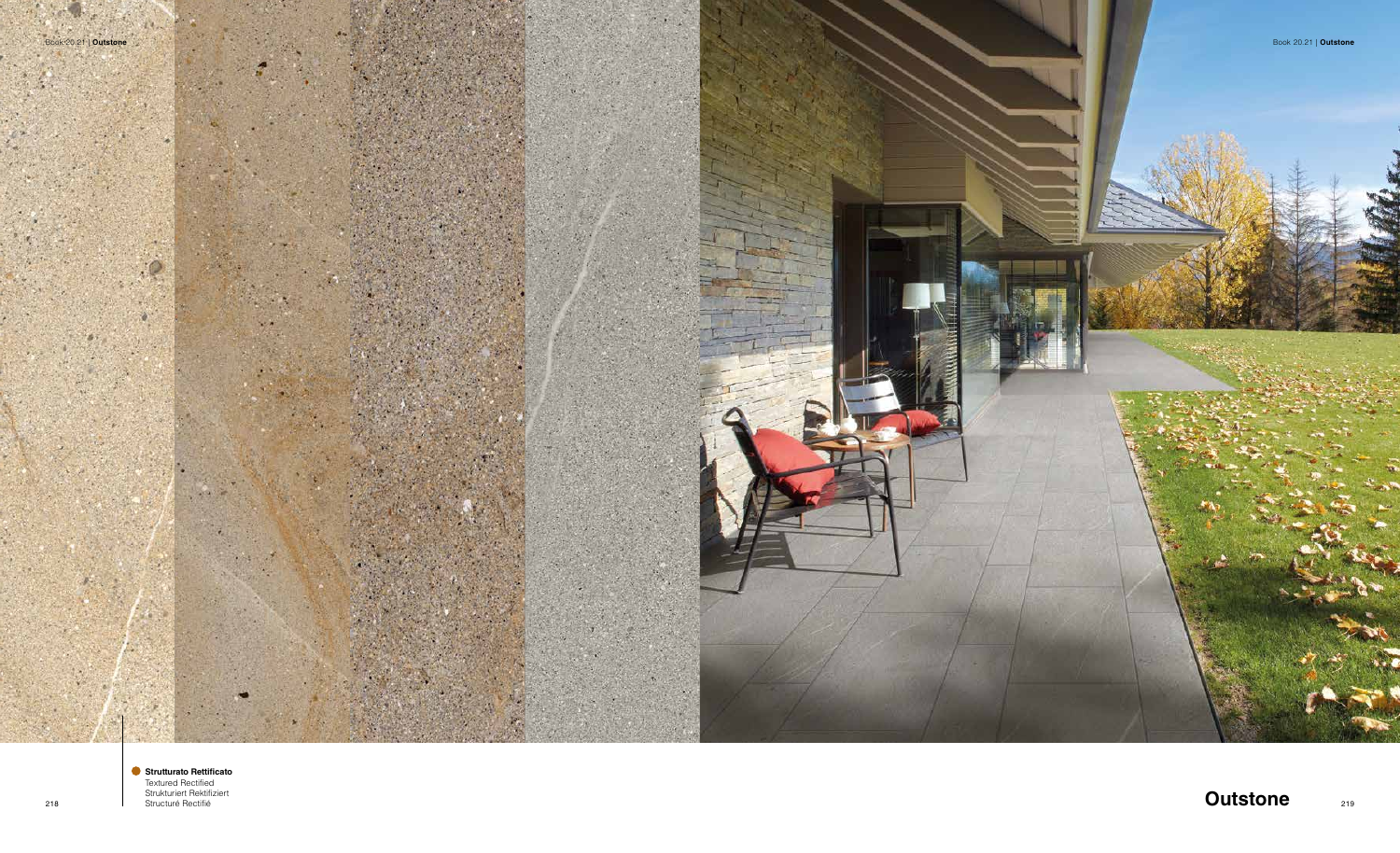

218 **Outstone Charles Restrict Restrict Restrict Restrict Restrict Restrict Restrict Restrict Restrict Restrict Restrict Restrict Restrict Restrict Restrict Restrict Restrict Restrict Restrict Restrict Restrict Restrict Strutturato Rettificato** Textured Rectified Strukturiert Rektifiziert Structuré Rectifié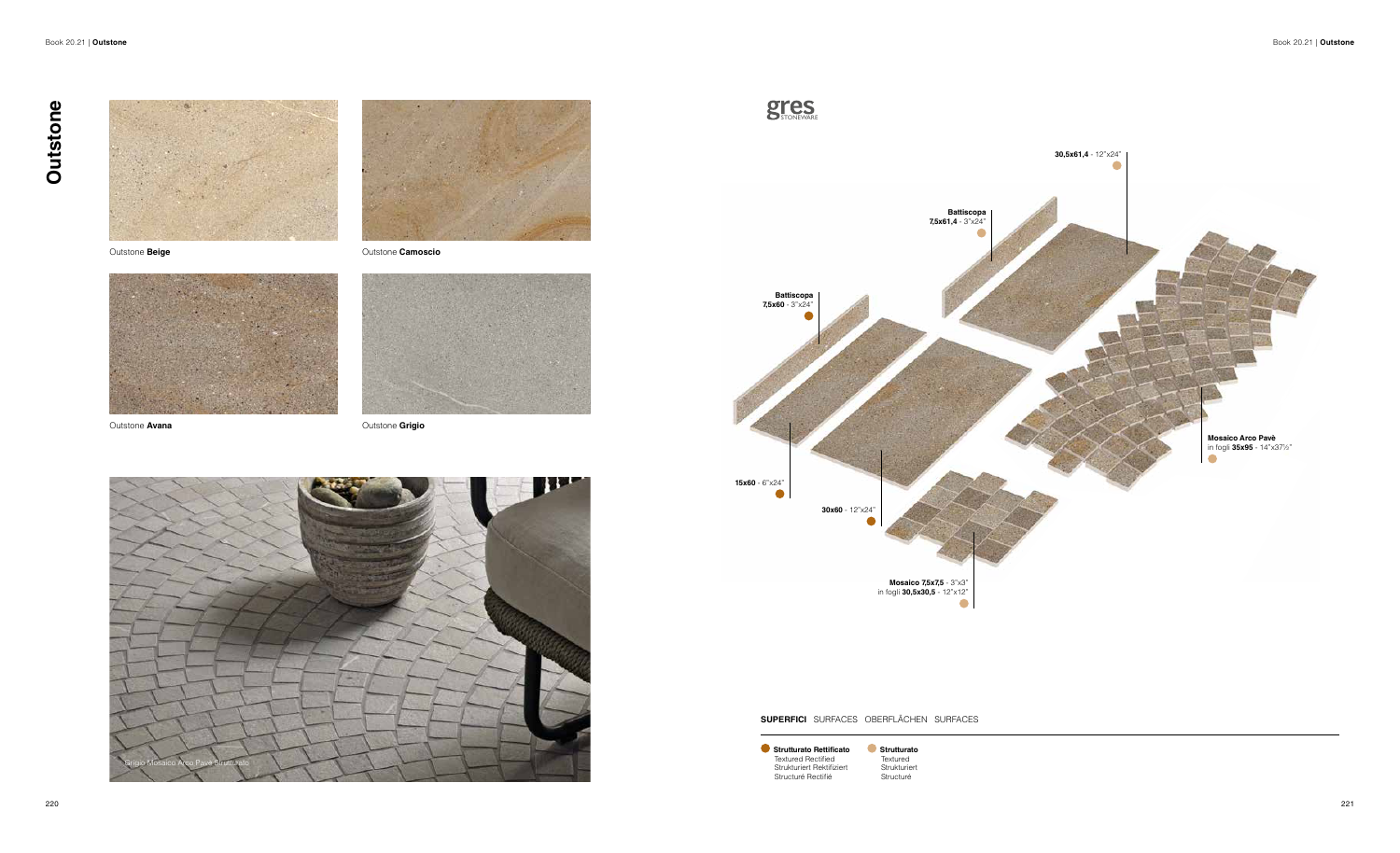Outstone **Beige**





Outstone **Avana**



Outstone **Camoscio**



Outstone **Grigio**

**SUPERFICI** SURFACES OBERFLÄCHEN SURFACES

**Strutturato Rettificato** Textured Rectified Strukturiert Rektifiziert Structuré Rectifié

**Strutturato Textured** Strukturiert Structuré